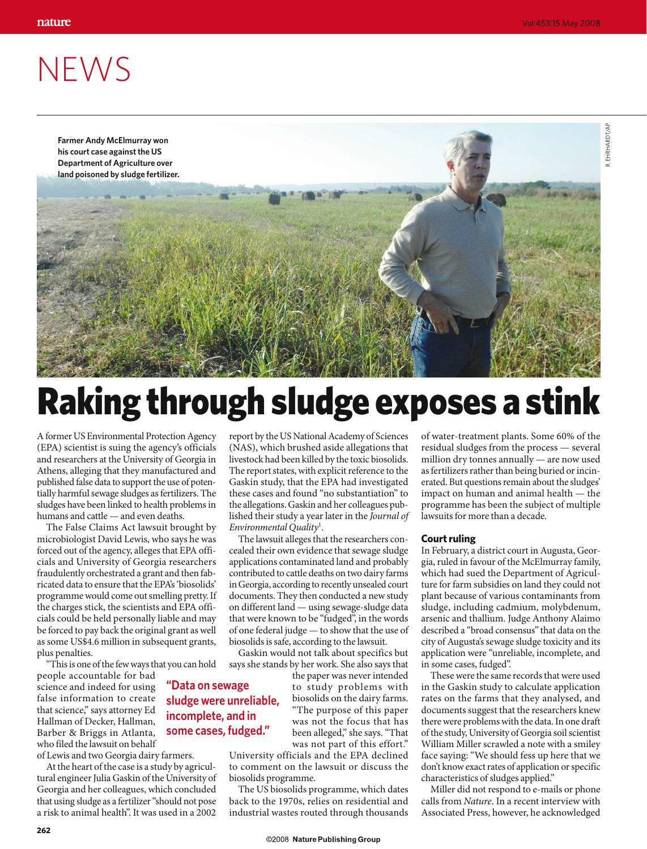## **NEWS**



## Raking through sludge exposes a stink

A former US Environmental Protection Agency (EPA) scientist is suing the agency's officials and researchers at the University of Georgia in Athens, alleging that they manufactured and published false data to support the use of potentially harmful sewage sludges as fertilizers. The sludges have been linked to health problems in humans and cattle — and even deaths.

The False Claims Act lawsuit brought by microbiologist David Lewis, who says he was forced out of the agency, alleges that EPA officials and University of Georgia researchers fraudulently orchestrated a grant and then fabricated data to ensure that the EPA's 'biosolids' programme would come out smelling pretty. If the charges stick, the scientists and EPA officials could be held personally liable and may be forced to pay back the original grant as well as some US\$4.6 million in subsequent grants, plus penalties.

"This is one of the few ways that you can hold

people accountable for bad science and indeed for using false information to create that science," says attorney Ed Hallman of Decker, Hallman, Barber & Briggs in Atlanta, who filed the lawsuit on behalf

**262**

of Lewis and two Georgia dairy farmers.

At the heart of the case is a study by agricultural engineer Julia Gaskin of the University of Georgia and her colleagues, which concluded that using sludge as a fertilizer "should not pose a risk to animal health". It was used in a 2002

report by the US National Academy of Sciences (NAS), which brushed aside allegations that livestock had been killed by the toxic biosolids. The report states, with explicit reference to the Gaskin study, that the EPA had investigated these cases and found "no substantiation" to the allegations. Gaskin and her colleagues published their study a year later in the *Journal of Environmental Quality*<sup>1</sup> .

The lawsuit alleges that the researchers concealed their own evidence that sewage sludge applications contaminated land and probably contributed to cattle deaths on two dairy farms in Georgia, according to recently unsealed court documents. They then conducted a new study on different land — using sewage-sludge data that were known to be "fudged", in the words of one federal judge — to show that the use of biosolids is safe, according to the lawsuit.

Gaskin would not talk about specifics but says she stands by her work. She also says that

the paper was never intended to study problems with biosolids on the dairy farms. "The purpose of this paper was not the focus that has been alleged," she says. "That was not part of this effort."

University officials and the EPA declined to comment on the lawsuit or discuss the biosolids programme.

The US biosolids programme, which dates back to the 1970s, relies on residential and industrial wastes routed through thousands

of water-treatment plants. Some 60% of the residual sludges from the process — several million dry tonnes annually — are now used as fertilizers rather than being buried or incinerated. But questions remain about the sludges' impact on human and animal health — the programme has been the subject of multiple lawsuits for more than a decade.

## **Court ruling**

In February, a district court in Augusta, Georgia, ruled in favour of the McElmurray family, which had sued the Department of Agriculture for farm subsidies on land they could not plant because of various contaminants from sludge, including cadmium, molybdenum, arsenic and thallium. Judge Anthony Alaimo described a "broad consensus" that data on the city of Augusta's sewage sludge toxicity and its application were "unreliable, incomplete, and in some cases, fudged".

These were the same records that were used in the Gaskin study to calculate application rates on the farms that they analysed, and documents suggest that the researchers knew there were problems with the data. In one draft of the study, University of Georgia soil scientist William Miller scrawled a note with a smiley face saying: "We should fess up here that we don't know exact rates of application or specific characteristics of sludges applied."

Miller did not respond to e-mails or phone calls from *Nature*. In a recent interview with Associated Press, however, he acknowledged

R. EHRHARDT/AP

R. EHRHARDT/AP

**incomplete, and in some cases, fudged."**

**"Data on sewage** 

**sludge were unreliable,**